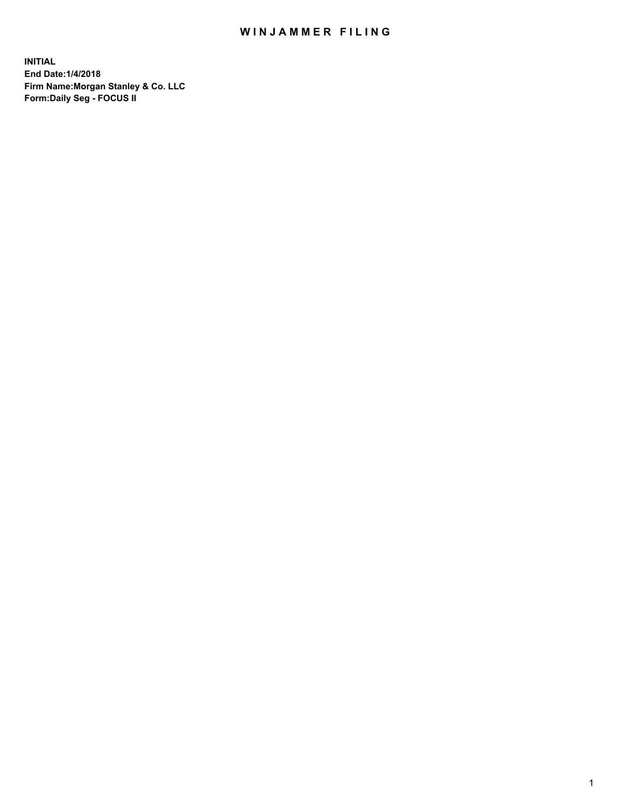## WIN JAMMER FILING

**INITIAL End Date:1/4/2018 Firm Name:Morgan Stanley & Co. LLC Form:Daily Seg - FOCUS II**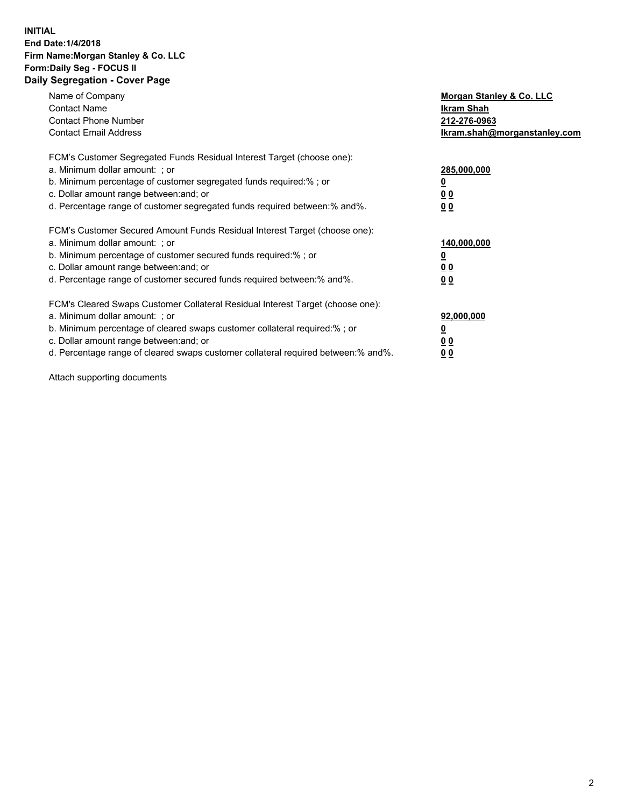### **INITIAL End Date:1/4/2018 Firm Name:Morgan Stanley & Co. LLC Form:Daily Seg - FOCUS II Daily Segregation - Cover Page**

| Name of Company                                                                   | Morgan Stanley & Co. LLC     |
|-----------------------------------------------------------------------------------|------------------------------|
| <b>Contact Name</b>                                                               | Ikram Shah                   |
| <b>Contact Phone Number</b>                                                       | 212-276-0963                 |
| <b>Contact Email Address</b>                                                      | Ikram.shah@morganstanley.com |
| FCM's Customer Segregated Funds Residual Interest Target (choose one):            |                              |
| a. Minimum dollar amount: ; or                                                    | 285,000,000                  |
| b. Minimum percentage of customer segregated funds required:%; or                 |                              |
| c. Dollar amount range between: and; or                                           | 0 <sub>0</sub>               |
| d. Percentage range of customer segregated funds required between:% and%.         | 00                           |
| FCM's Customer Secured Amount Funds Residual Interest Target (choose one):        |                              |
| a. Minimum dollar amount: ; or                                                    | 140,000,000                  |
| b. Minimum percentage of customer secured funds required:%; or                    |                              |
| c. Dollar amount range between: and; or                                           | <u>00</u>                    |
| d. Percentage range of customer secured funds required between: % and %.          | 0 <sub>0</sub>               |
| FCM's Cleared Swaps Customer Collateral Residual Interest Target (choose one):    |                              |
| a. Minimum dollar amount: ; or                                                    | 92,000,000                   |
| b. Minimum percentage of cleared swaps customer collateral required:% ; or        |                              |
| c. Dollar amount range between: and; or                                           | 0 <sub>0</sub>               |
| d. Percentage range of cleared swaps customer collateral required between:% and%. | <u>00</u>                    |

Attach supporting documents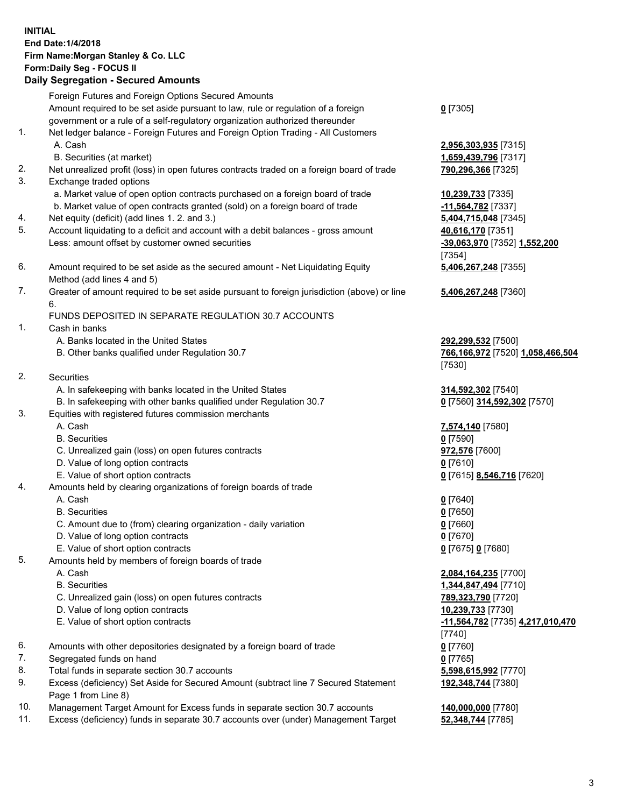# **INITIAL End Date:1/4/2018 Firm Name:Morgan Stanley & Co. LLC Form:Daily Seg - FOCUS II**

## **Daily Segregation - Secured Amounts**

|     | Foreign Futures and Foreign Options Secured Amounts                                                        |                                  |
|-----|------------------------------------------------------------------------------------------------------------|----------------------------------|
|     | Amount required to be set aside pursuant to law, rule or regulation of a foreign                           | $0$ [7305]                       |
|     | government or a rule of a self-regulatory organization authorized thereunder                               |                                  |
| 1.  | Net ledger balance - Foreign Futures and Foreign Option Trading - All Customers                            |                                  |
|     | A. Cash                                                                                                    | 2,956,303,935 [7315]             |
|     | B. Securities (at market)                                                                                  | 1,659,439,796 [7317]             |
| 2.  | Net unrealized profit (loss) in open futures contracts traded on a foreign board of trade                  | 790,296,366 [7325]               |
| 3.  | Exchange traded options                                                                                    |                                  |
|     | a. Market value of open option contracts purchased on a foreign board of trade                             | 10,239,733 [7335]                |
|     | b. Market value of open contracts granted (sold) on a foreign board of trade                               | -11,564,782 [7337]               |
| 4.  | Net equity (deficit) (add lines 1.2. and 3.)                                                               | 5,404,715,048 [7345]             |
| 5.  | Account liquidating to a deficit and account with a debit balances - gross amount                          | 40,616,170 [7351]                |
|     | Less: amount offset by customer owned securities                                                           | -39,063,970 [7352] 1,552,200     |
|     |                                                                                                            | [7354]                           |
| 6.  | Amount required to be set aside as the secured amount - Net Liquidating Equity                             | 5,406,267,248 [7355]             |
|     | Method (add lines 4 and 5)                                                                                 |                                  |
| 7.  | Greater of amount required to be set aside pursuant to foreign jurisdiction (above) or line                | 5,406,267,248 [7360]             |
|     | 6.                                                                                                         |                                  |
|     | FUNDS DEPOSITED IN SEPARATE REGULATION 30.7 ACCOUNTS                                                       |                                  |
| 1.  | Cash in banks                                                                                              |                                  |
|     | A. Banks located in the United States                                                                      | 292,299,532 [7500]               |
|     | B. Other banks qualified under Regulation 30.7                                                             | 766,166,972 [7520] 1,058,466,504 |
|     |                                                                                                            | [7530]                           |
| 2.  | Securities                                                                                                 |                                  |
|     | A. In safekeeping with banks located in the United States                                                  | 314,592,302 [7540]               |
|     | B. In safekeeping with other banks qualified under Regulation 30.7                                         | 0 [7560] 314,592,302 [7570]      |
| 3.  | Equities with registered futures commission merchants                                                      |                                  |
|     | A. Cash                                                                                                    | 7,574,140 [7580]                 |
|     | <b>B.</b> Securities                                                                                       | $0$ [7590]                       |
|     | C. Unrealized gain (loss) on open futures contracts                                                        | 972,576 [7600]                   |
|     | D. Value of long option contracts                                                                          | $0$ [7610]                       |
|     | E. Value of short option contracts                                                                         | 0 [7615] 8,546,716 [7620]        |
| 4.  | Amounts held by clearing organizations of foreign boards of trade                                          |                                  |
|     | A. Cash                                                                                                    | $0$ [7640]                       |
|     | <b>B.</b> Securities                                                                                       | $0$ [7650]                       |
|     | C. Amount due to (from) clearing organization - daily variation                                            | $0$ [7660]                       |
|     | D. Value of long option contracts                                                                          | $0$ [7670]                       |
|     | E. Value of short option contracts                                                                         | 0 [7675] 0 [7680]                |
| 5.  | Amounts held by members of foreign boards of trade                                                         |                                  |
|     | A. Cash                                                                                                    | 2,084,164,235 [7700]             |
|     | <b>B.</b> Securities                                                                                       | 1,344,847,494 [7710]             |
|     | C. Unrealized gain (loss) on open futures contracts                                                        | 789,323,790 [7720]               |
|     | D. Value of long option contracts                                                                          | 10,239,733 [7730]                |
|     | E. Value of short option contracts                                                                         | -11,564,782 [7735] 4,217,010,470 |
|     |                                                                                                            | [7740]                           |
| 6.  | Amounts with other depositories designated by a foreign board of trade                                     | $0$ [7760]                       |
| 7.  | Segregated funds on hand                                                                                   | $0$ [7765]                       |
| 8.  | Total funds in separate section 30.7 accounts                                                              | 5,598,615,992 [7770]             |
| 9.  | Excess (deficiency) Set Aside for Secured Amount (subtract line 7 Secured Statement<br>Page 1 from Line 8) | 192,348,744 [7380]               |
| 10. | Management Target Amount for Excess funds in separate section 30.7 accounts                                | 140,000,000 [7780]               |
| 11. | Excess (deficiency) funds in separate 30.7 accounts over (under) Management Target                         | 52,348,744 [7785]                |
|     |                                                                                                            |                                  |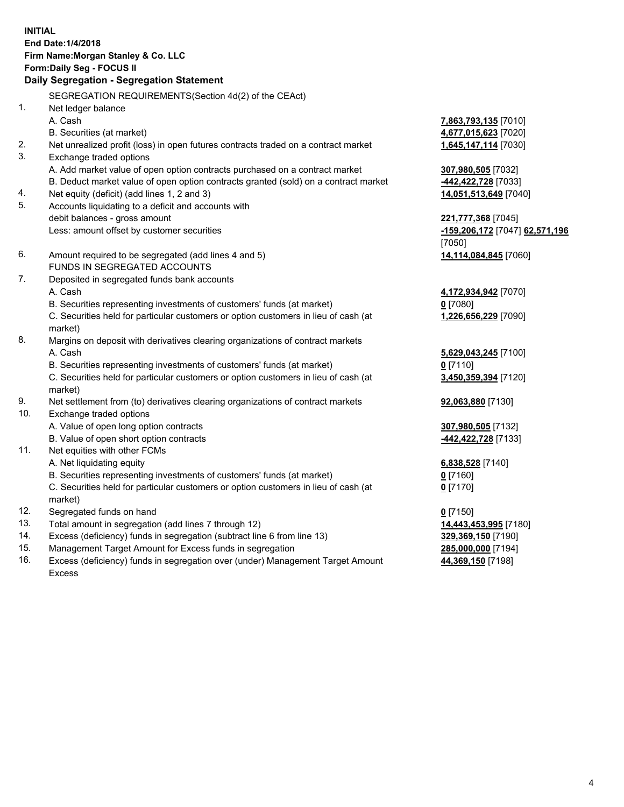# **INITIAL End Date:1/4/2018 Firm Name:Morgan Stanley & Co. LLC Form:Daily Seg - FOCUS II**

# **Daily Segregation - Segregation Statement**

SEGREGATION REQUIREMENTS(Section 4d(2) of the CEAct) 1. Net ledger balance A. Cash **7,863,793,135** [7010] B. Securities (at market) **4,677,015,623** [7020] 2. Net unrealized profit (loss) in open futures contracts traded on a contract market **1,645,147,114** [7030] 3. Exchange traded options A. Add market value of open option contracts purchased on a contract market **307,980,505** [7032] B. Deduct market value of open option contracts granted (sold) on a contract market **-442,422,728** [7033] 4. Net equity (deficit) (add lines 1, 2 and 3) **14,051,513,649** [7040] 5. Accounts liquidating to a deficit and accounts with debit balances - gross amount **221,777,368** [7045] Less: amount offset by customer securities **-159,206,172** [7047] **62,571,196** [7050] 6. Amount required to be segregated (add lines 4 and 5) **14,114,084,845** [7060] FUNDS IN SEGREGATED ACCOUNTS 7. Deposited in segregated funds bank accounts A. Cash **4,172,934,942** [7070] B. Securities representing investments of customers' funds (at market) **0** [7080] C. Securities held for particular customers or option customers in lieu of cash (at market) **1,226,656,229** [7090] 8. Margins on deposit with derivatives clearing organizations of contract markets A. Cash **5,629,043,245** [7100] B. Securities representing investments of customers' funds (at market) **0** [7110] C. Securities held for particular customers or option customers in lieu of cash (at market) **3,450,359,394** [7120] 9. Net settlement from (to) derivatives clearing organizations of contract markets **92,063,880** [7130] 10. Exchange traded options A. Value of open long option contracts **307,980,505** [7132] B. Value of open short option contracts **-442,422,728** [7133] 11. Net equities with other FCMs A. Net liquidating equity **6,838,528** [7140] B. Securities representing investments of customers' funds (at market) **0** [7160] C. Securities held for particular customers or option customers in lieu of cash (at market) **0** [7170] 12. Segregated funds on hand **0** [7150] 13. Total amount in segregation (add lines 7 through 12) **14,443,453,995** [7180] 14. Excess (deficiency) funds in segregation (subtract line 6 from line 13) **329,369,150** [7190] 15. Management Target Amount for Excess funds in segregation **285,000,000** [7194]

16. Excess (deficiency) funds in segregation over (under) Management Target Amount Excess

**44,369,150** [7198]